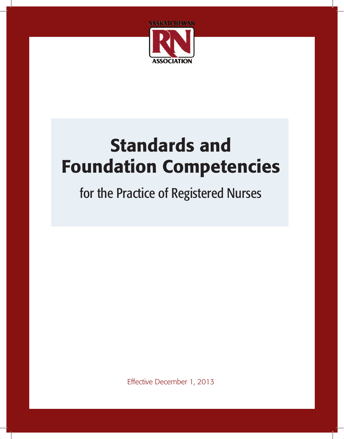

# Standards and Foundation Competencies

## for the Practice of Registered Nurses

Effective December 1, 2013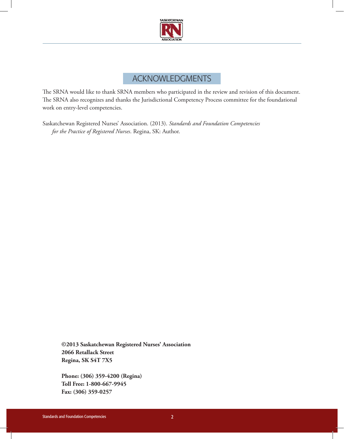

## Acknowledgments

The SRNA would like to thank SRNA members who participated in the review and revision of this document. The SRNA also recognizes and thanks the Jurisdictional Competency Process committee for the foundational work on entry-level competencies.

Saskatchewan Registered Nurses' Association. (2013). *Standards and Foundation Competencies for the Practice of Registered Nurses*. Regina, SK: Author.

**©2013 Saskatchewan Registered Nurses' Association 2066 Retallack Street Regina, SK S4T 7X5**

**Phone: (306) 359-4200 (Regina) Toll Free: 1-800-667-9945 Fax: (306) 359-0257**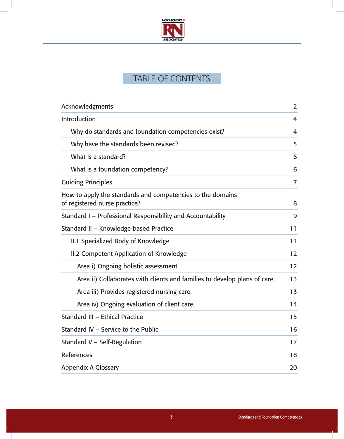

## TABLE OF CONTENTS

| Acknowledgments                                                                             | $\overline{2}$ |
|---------------------------------------------------------------------------------------------|----------------|
| Introduction                                                                                | 4              |
| Why do standards and foundation competencies exist?                                         | 4              |
| Why have the standards been revised?                                                        | 5              |
| What is a standard?                                                                         | 6              |
| What is a foundation competency?                                                            | 6              |
| <b>Guiding Principles</b>                                                                   | $\overline{7}$ |
| How to apply the standards and competencies to the domains<br>of registered nurse practice? | 8              |
| Standard I - Professional Responsibility and Accountability                                 | 9              |
| Standard II - Knowledge-based Practice                                                      | 11             |
| II.1 Specialized Body of Knowledge                                                          | 11             |
| II.2 Competent Application of Knowledge                                                     | 12             |
| Area i) Ongoing holistic assessment.                                                        | 12             |
| Area ii) Collaborates with clients and families to develop plans of care.                   | 13             |
| Area iii) Provides registered nursing care.                                                 | 13             |
| Area iv) Ongoing evaluation of client care.                                                 | 14             |
| <b>Standard III - Ethical Practice</b>                                                      | 15             |
| Standard IV - Service to the Public                                                         | 16             |
| Standard V - Self-Regulation                                                                | 17             |
| <b>References</b>                                                                           | 18             |
| <b>Appendix A Glossary</b>                                                                  | 20             |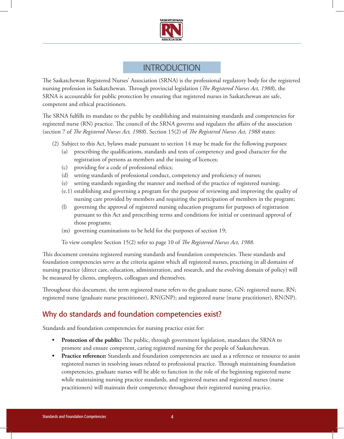

## **INTRODUCTION**

The Saskatchewan Registered Nurses' Association (SRNA) is the professional regulatory body for the registered nursing profession in Saskatchewan. Through provincial legislation (*The Registered Nurses Act, 1988*), the SRNA is accountable for public protection by ensuring that registered nurses in Saskatchewan are safe, competent and ethical practitioners.

The SRNA fulfills its mandate to the public by establishing and maintaining standards and competencies for registered nurse (RN) practice. The council of the SRNA governs and regulates the affairs of the association (section 7 of *The Registered Nurses Act, 1988*). Section 15(2) of *The Registered Nurses Act, 1988* states:

- (2) Subject to this Act, bylaws made pursuant to section 14 may be made for the following purposes:
	- (a) prescribing the qualifications, standards and tests of competency and good character for the registration of persons as members and the issuing of licences;
	- (c) providing for a code of professional ethics;
	- (d) setting standards of professional conduct, competency and proficiency of nurses;
	- (e) setting standards regarding the manner and method of the practice of registered nursing;
	- (e.1) establishing and governing a program for the purpose of reviewing and improving the quality of nursing care provided by members and requiring the participation of members in the program;
	- (l) governing the approval of registered nursing education programs for purposes of registration pursuant to this Act and prescribing terms and conditions for initial or continued approval of those programs;
	- (m) governing examinations to be held for the purposes of section 19;

To view complete Section 15(2) refer to page 10 of *The Registered Nurses Act, 1988*.

This document contains registered nursing standards and foundation competencies. These standards and foundation competencies serve as the criteria against which all registered nurses, practising in all domains of nursing practice (direct care, education, administration, and research, and the evolving domain of policy) will be measured by clients, employers, colleagues and themselves.

Throughout this document, the term registered nurse refers to the graduate nurse, GN; registered nurse, RN; registered nurse (graduate nurse practitioner), RN(GNP); and registered nurse (nurse practitioner), RN(NP).

## Why do standards and foundation competencies exist?

Standards and foundation competencies for nursing practice exist for:

- **• Protection of the public:** The public, through government legislation, mandates the SRNA to promote and ensure competent, caring registered nursing for the people of Saskatchewan.
- **• Practice reference:** Standards and foundation competencies are used as a reference or resource to assist registered nurses in resolving issues related to professional practice. Through maintaining foundation competencies, graduate nurses will be able to function in the role of the beginning registered nurse while maintaining nursing practice standards, and registered nurses and registered nurses (nurse practitioners) will maintain their competence throughout their registered nursing practice.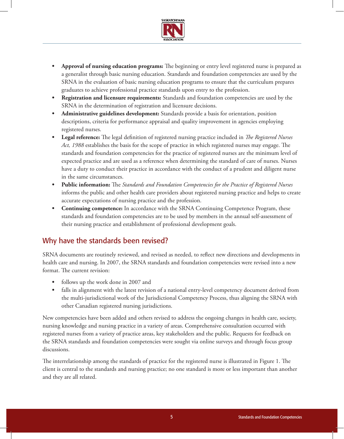

- **• Approval of nursing education programs:** The beginning or entry level registered nurse is prepared as a generalist through basic nursing education. Standards and foundation competencies are used by the SRNA in the evaluation of basic nursing education programs to ensure that the curriculum prepares graduates to achieve professional practice standards upon entry to the profession.
- **• Registration and licensure requirements:** Standards and foundation competencies are used by the SRNA in the determination of registration and licensure decisions.
- **• Administrative guidelines development:** Standards provide a basis for orientation, position descriptions, criteria for performance appraisal and quality improvement in agencies employing registered nurses.
- **• Legal reference:** The legal definition of registered nursing practice included in *The Registered Nurses Act, 1988* establishes the basis for the scope of practice in which registered nurses may engage. The standards and foundation competencies for the practice of registered nurses are the minimum level of expected practice and are used as a reference when determining the standard of care of nurses. Nurses have a duty to conduct their practice in accordance with the conduct of a prudent and diligent nurse in the same circumstances.
- **• Public information:** The *Standards and Foundation Competencies for the Practice of Registered Nurses* informs the public and other health care providers about registered nursing practice and helps to create accurate expectations of nursing practice and the profession.
- **Continuing competence:** In accordance with the SRNA Continuing Competence Program, these standards and foundation competencies are to be used by members in the annual self-assessment of their nursing practice and establishment of professional development goals.

## Why have the standards been revised?

SRNA documents are routinely reviewed, and revised as needed, to reflect new directions and developments in health care and nursing. In 2007, the SRNA standards and foundation competencies were revised into a new format. The current revision:

- **•**  follows up the work done in 2007 and
- falls in alignment with the latest revision of a national entry-level competency document derived from the multi-jurisdictional work of the Jurisdictional Competency Process, thus aligning the SRNA with other Canadian registered nursing jurisdictions.

New competencies have been added and others revised to address the ongoing changes in health care, society, nursing knowledge and nursing practice in a variety of areas. Comprehensive consultation occurred with registered nurses from a variety of practice areas, key stakeholders and the public. Requests for feedback on the SRNA standards and foundation competencies were sought via online surveys and through focus group discussions.

The interrelationship among the standards of practice for the registered nurse is illustrated in Figure 1. The client is central to the standards and nursing practice; no one standard is more or less important than another and they are all related.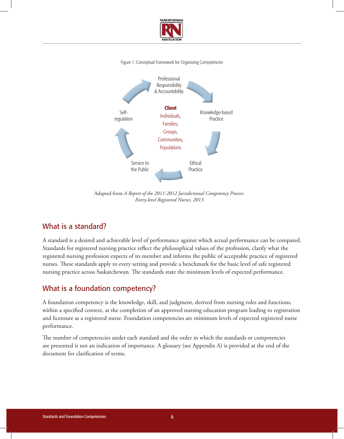

#### Figure 1: Conceptual Framework for Organizing Competencies



Adapted from *A Report of the 2011-2012 Jurisdictional Competency Process: Entry-level Registered Nurses, 2013*

#### What is a standard?

A standard is a desired and achievable level of performance against which actual performance can be compared. Standards for registered nursing practice reflect the philosophical values of the profession, clarify what the registered nursing profession expects of its member and informs the public of acceptable practice of registered nurses. These standards apply to every setting and provide a benchmark for the basic level of safe registered nursing practice across Saskatchewan. The standards state the minimum levels of expected performance.

#### What is a foundation competency?

A foundation competency is the knowledge, skill, and judgment, derived from nursing roles and functions, within a specified context, at the completion of an approved nursing education program leading to registration and licensure as a registered nurse. Foundation competencies are minimum levels of expected registered nurse performance.

The number of competencies under each standard and the order in which the standards or competencies are presented is not an indication of importance. A glossary (see Appendix A) is provided at the end of the document for clarification of terms.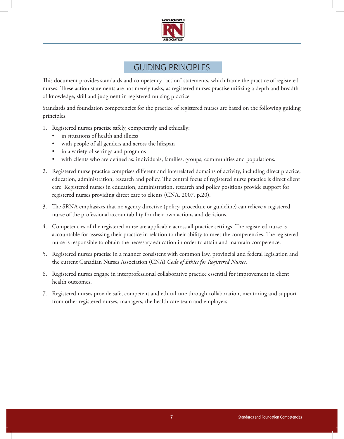

## Guiding Principles

This document provides standards and competency "action" statements, which frame the practice of registered nurses. These action statements are not merely tasks, as registered nurses practise utilizing a depth and breadth of knowledge, skill and judgment in registered nursing practice.

Standards and foundation competencies for the practice of registered nurses are based on the following guiding principles:

- 1. Registered nurses practise safely, competently and ethically:
	- in situations of health and illness
	- with people of all genders and across the lifespan
	- • in a variety of settings and programs
	- • with clients who are defined as: individuals, families, groups, communities and populations.
- 2. Registered nurse practice comprises different and interrelated domains of activity, including direct practice, education, administration, research and policy. The central focus of registered nurse practice is direct client care. Registered nurses in education, administration, research and policy positions provide support for registered nurses providing direct care to clients (CNA, 2007, p.20).
- 3. The SRNA emphasizes that no agency directive (policy, procedure or guideline) can relieve a registered nurse of the professional accountability for their own actions and decisions.
- 4. Competencies of the registered nurse are applicable across all practice settings. The registered nurse is accountable for assessing their practice in relation to their ability to meet the competencies. The registered nurse is responsible to obtain the necessary education in order to attain and maintain competence.
- 5. Registered nurses practise in a manner consistent with common law, provincial and federal legislation and the current Canadian Nurses Association (CNA) *Code of Ethics for Registered Nurses*.
- 6. Registered nurses engage in interprofessional collaborative practice essential for improvement in client health outcomes.
- 7. Registered nurses provide safe, competent and ethical care through collaboration, mentoring and support from other registered nurses, managers, the health care team and employers.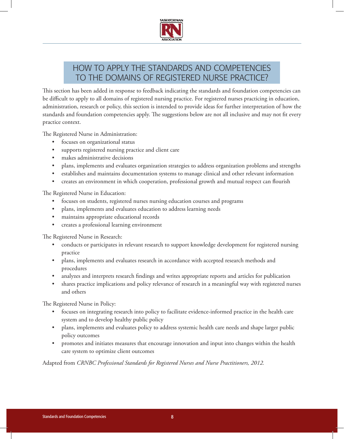

## How to apply the standards and competencies to the domains of registered nurse practice?

This section has been added in response to feedback indicating the standards and foundation competencies can be difficult to apply to all domains of registered nursing practice. For registered nurses practicing in education, administration, research or policy, this section is intended to provide ideas for further interpretation of how the standards and foundation competencies apply. The suggestions below are not all inclusive and may not fit every practice context.

The Registered Nurse in Administration:

- • focuses on organizational status
- supports registered nursing practice and client care
- makes administrative decisions
- • plans, implements and evaluates organization strategies to address organization problems and strengths
- • establishes and maintains documentation systems to manage clinical and other relevant information
- creates an environment in which cooperation, professional growth and mutual respect can flourish

The Registered Nurse in Education:

- focuses on students, registered nurses nursing education courses and programs
- • plans, implements and evaluates education to address learning needs
- maintains appropriate educational records
- • creates a professional learning environment

The Registered Nurse in Research:

- conducts or participates in relevant research to support knowledge development for registered nursing practice
- plans, implements and evaluates research in accordance with accepted research methods and procedures
- analyzes and interprets research findings and writes appropriate reports and articles for publication
- shares practice implications and policy relevance of research in a meaningful way with registered nurses and others

The Registered Nurse in Policy:

- focuses on integrating research into policy to facilitate evidence-informed practice in the health care system and to develop healthy public policy
- plans, implements and evaluates policy to address systemic health care needs and shape larger public policy outcomes
- • promotes and initiates measures that encourage innovation and input into changes within the health care system to optimize client outcomes

Adapted from *CRNBC Professional Standards for Registered Nurses and Nurse Practitioners, 2012.*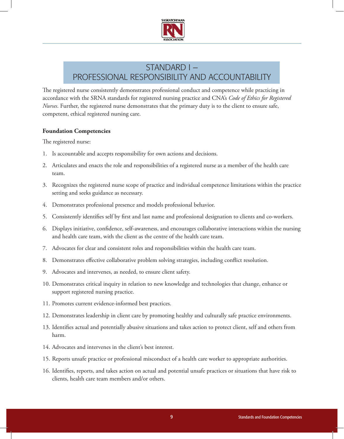

## Standard I – Professional Responsibility and Accountability

The registered nurse consistently demonstrates professional conduct and competence while practicing in accordance with the SRNA standards for registered nursing practice and CNA's *Code of Ethics for Registered Nurses*. Further, the registered nurse demonstrates that the primary duty is to the client to ensure safe, competent, ethical registered nursing care.

#### **Foundation Competencies**

- 1. Is accountable and accepts responsibility for own actions and decisions.
- 2. Articulates and enacts the role and responsibilities of a registered nurse as a member of the health care team.
- 3. Recognizes the registered nurse scope of practice and individual competence limitations within the practice setting and seeks guidance as necessary.
- 4. Demonstrates professional presence and models professional behavior.
- 5. Consistently identifies self by first and last name and professional designation to clients and co-workers.
- 6. Displays initiative, confidence, self-awareness, and encourages collaborative interactions within the nursing and health care team, with the client as the centre of the health care team.
- 7. Advocates for clear and consistent roles and responsibilities within the health care team.
- 8. Demonstrates effective collaborative problem solving strategies, including conflict resolution.
- 9. Advocates and intervenes, as needed, to ensure client safety.
- 10. Demonstrates critical inquiry in relation to new knowledge and technologies that change, enhance or support registered nursing practice.
- 11. Promotes current evidence-informed best practices.
- 12. Demonstrates leadership in client care by promoting healthy and culturally safe practice environments.
- 13. Identifies actual and potentially abusive situations and takes action to protect client, self and others from harm.
- 14. Advocates and intervenes in the client's best interest.
- 15. Reports unsafe practice or professional misconduct of a health care worker to appropriate authorities.
- 16. Identifies, reports, and takes action on actual and potential unsafe practices or situations that have risk to clients, health care team members and/or others.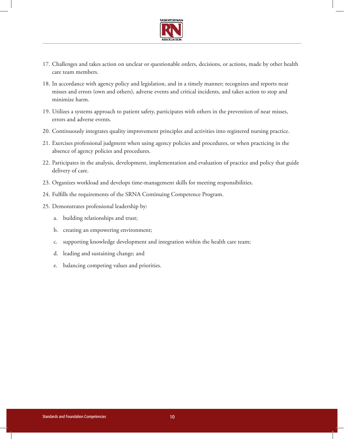

- 17. Challenges and takes action on unclear or questionable orders, decisions, or actions, made by other health care team members.
- 18. In accordance with agency policy and legislation, and in a timely manner; recognizes and reports near misses and errors (own and others), adverse events and critical incidents, and takes action to stop and minimize harm.
- 19. Utilizes a systems approach to patient safety, participates with others in the prevention of near misses, errors and adverse events.
- 20. Continuously integrates quality improvement principles and activities into registered nursing practice.
- 21. Exercises professional judgment when using agency policies and procedures, or when practicing in the absence of agency policies and procedures.
- 22. Participates in the analysis, development, implementation and evaluation of practice and policy that guide delivery of care.
- 23. Organizes workload and develops time-management skills for meeting responsibilities.
- 24. Fulfills the requirements of the SRNA Continuing Competence Program.
- 25. Demonstrates professional leadership by:
	- a. building relationships and trust;
	- b. creating an empowering environment;
	- c. supporting knowledge development and integration within the health care team;
	- d. leading and sustaining change; and
	- e. balancing competing values and priorities.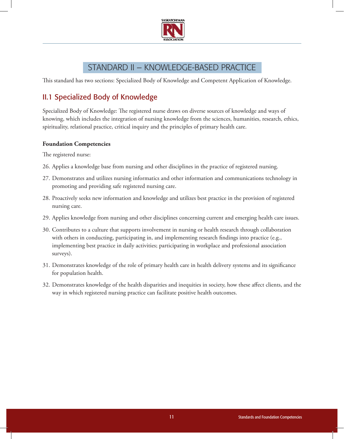

## Standard II – Knowledge-based Practice

This standard has two sections: Specialized Body of Knowledge and Competent Application of Knowledge.

## II.1 Specialized Body of Knowledge

Specialized Body of Knowledge: The registered nurse draws on diverse sources of knowledge and ways of knowing, which includes the integration of nursing knowledge from the sciences, humanities, research, ethics, spirituality, relational practice, critical inquiry and the principles of primary health care.

#### **Foundation Competencies**

- 26. Applies a knowledge base from nursing and other disciplines in the practice of registered nursing.
- 27. Demonstrates and utilizes nursing informatics and other information and communications technology in promoting and providing safe registered nursing care.
- 28. Proactively seeks new information and knowledge and utilizes best practice in the provision of registered nursing care.
- 29. Applies knowledge from nursing and other disciplines concerning current and emerging health care issues.
- 30. Contributes to a culture that supports involvement in nursing or health research through collaboration with others in conducting, participating in, and implementing research findings into practice (e.g., implementing best practice in daily activities; participating in workplace and professional association surveys).
- 31. Demonstrates knowledge of the role of primary health care in health delivery systems and its significance for population health.
- 32. Demonstrates knowledge of the health disparities and inequities in society, how these affect clients, and the way in which registered nursing practice can facilitate positive health outcomes.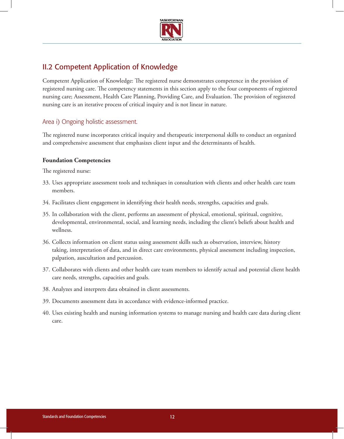

## II.2 Competent Application of Knowledge

Competent Application of Knowledge: The registered nurse demonstrates competence in the provision of registered nursing care. The competency statements in this section apply to the four components of registered nursing care; Assessment, Health Care Planning, Providing Care, and Evaluation. The provision of registered nursing care is an iterative process of critical inquiry and is not linear in nature.

#### Area i) Ongoing holistic assessment.

The registered nurse incorporates critical inquiry and therapeutic interpersonal skills to conduct an organized and comprehensive assessment that emphasizes client input and the determinants of health.

#### **Foundation Competencies**

- 33. Uses appropriate assessment tools and techniques in consultation with clients and other health care team members.
- 34. Facilitates client engagement in identifying their health needs, strengths, capacities and goals.
- 35. In collaboration with the client, performs an assessment of physical, emotional, spiritual, cognitive, developmental, environmental, social, and learning needs, including the client's beliefs about health and wellness.
- 36. Collects information on client status using assessment skills such as observation, interview, history taking, interpretation of data, and in direct care environments, physical assessment including inspection, palpation, auscultation and percussion.
- 37. Collaborates with clients and other health care team members to identify actual and potential client health care needs, strengths, capacities and goals.
- 38. Analyzes and interprets data obtained in client assessments.
- 39. Documents assessment data in accordance with evidence-informed practice.
- 40. Uses existing health and nursing information systems to manage nursing and health care data during client care.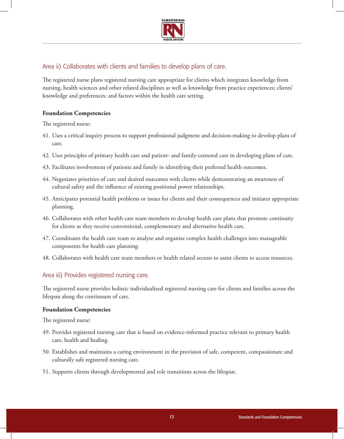

#### Area ii) Collaborates with clients and families to develop plans of care.

The registered nurse plans registered nursing care appropriate for clients which integrates knowledge from nursing, health sciences and other related disciplines as well as knowledge from practice experiences; clients' knowledge and preferences; and factors within the health care setting.

#### **Foundation Competencies**

The registered nurse:

- 41. Uses a critical inquiry process to support professional judgment and decision-making to develop plans of care.
- 42. Uses principles of primary health care and patient- and family-centered care in developing plans of care.
- 43. Facilitates involvement of patients and family in identifying their preferred health outcomes.
- 44. Negotiates priorities of care and desired outcomes with clients while demonstrating an awareness of cultural safety and the influence of existing positional power relationships.
- 45. Anticipates potential health problems or issues for clients and their consequences and initiates appropriate planning.
- 46. Collaborates with other health care team members to develop health care plans that promote continuity for clients as they receive conventional, complementary and alternative health care.
- 47. Coordinates the health care team to analyze and organize complex health challenges into manageable components for health care planning.
- 48. Collaborates with health care team members or health related sectors to assist clients to access resources.

#### Area iii) Provides registered nursing care.

The registered nurse provides holistic individualized registered nursing care for clients and families across the lifespan along the continuum of care.

#### **Foundation Competencies**

- 49. Provides registered nursing care that is based on evidence-informed practice relevant to primary health care, health and healing.
- 50. Establishes and maintains a caring environment in the provision of safe, competent, compassionate and culturally safe registered nursing care.
- 51. Supports clients through developmental and role transitions across the lifespan.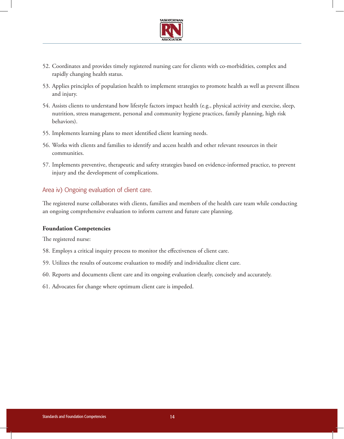

- 52. Coordinates and provides timely registered nursing care for clients with co-morbidities, complex and rapidly changing health status.
- 53. Applies principles of population health to implement strategies to promote health as well as prevent illness and injury.
- 54. Assists clients to understand how lifestyle factors impact health (e.g., physical activity and exercise, sleep, nutrition, stress management, personal and community hygiene practices, family planning, high risk behaviors).
- 55. Implements learning plans to meet identified client learning needs.
- 56. Works with clients and families to identify and access health and other relevant resources in their communities.
- 57. Implements preventive, therapeutic and safety strategies based on evidence-informed practice, to prevent injury and the development of complications.

#### Area iv) Ongoing evaluation of client care.

The registered nurse collaborates with clients, families and members of the health care team while conducting an ongoing comprehensive evaluation to inform current and future care planning.

#### **Foundation Competencies**

- 58. Employs a critical inquiry process to monitor the effectiveness of client care.
- 59. Utilizes the results of outcome evaluation to modify and individualize client care.
- 60. Reports and documents client care and its ongoing evaluation clearly, concisely and accurately.
- 61. Advocates for change where optimum client care is impeded.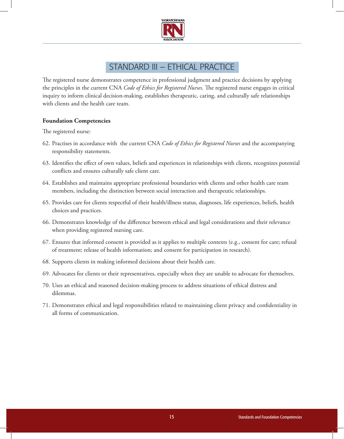

## STANDARD III – ETHICAL PRACTICE

The registered nurse demonstrates competence in professional judgment and practice decisions by applying the principles in the current CNA *Code of Ethics for Registered Nurses*. The registered nurse engages in critical inquiry to inform clinical decision-making, establishes therapeutic, caring, and culturally safe relationships with clients and the health care team.

#### **Foundation Competencies**

- 62. Practises in accordance with the current CNA *Code of Ethics for Registered Nurses* and the accompanying responsibility statements.
- 63. Identifies the effect of own values, beliefs and experiences in relationships with clients, recognizes potential conflicts and ensures culturally safe client care.
- 64. Establishes and maintains appropriate professional boundaries with clients and other health care team members, including the distinction between social interaction and therapeutic relationships.
- 65. Provides care for clients respectful of their health/illness status, diagnoses, life experiences, beliefs, health choices and practices.
- 66. Demonstrates knowledge of the difference between ethical and legal considerations and their relevance when providing registered nursing care.
- 67. Ensures that informed consent is provided as it applies to multiple contexts (e.g., consent for care; refusal of treatment; release of health information; and consent for participation in research).
- 68. Supports clients in making informed decisions about their health care.
- 69. Advocates for clients or their representatives, especially when they are unable to advocate for themselves.
- 70. Uses an ethical and reasoned decision-making process to address situations of ethical distress and dilemmas.
- 71. Demonstrates ethical and legal responsibilities related to maintaining client privacy and confidentiality in all forms of communication.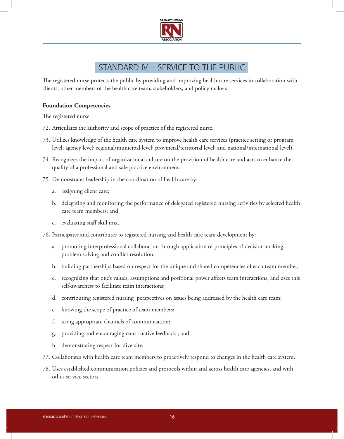

## Standard IV – Service to the Public

The registered nurse protects the public by providing and improving health care services in collaboration with clients, other members of the health care team**,** stakeholders, and policy makers.

#### **Foundation Competencies**

- 72. Articulates the authority and scope of practice of the registered nurse.
- 73. Utilizes knowledge of the health care system to improve health care services (practice setting or program level; agency level; regional/municipal level; provincial/territorial level; and national/international level).
- 74. Recognizes the impact of organizational culture on the provision of health care and acts to enhance the quality of a professional and safe practice environment.
- 75. Demonstrates leadership in the coordination of health care by:
	- a. assigning client care;
	- b. delegating and monitoring the performance of delegated registered nursing activities by selected health care team members; and
	- c. evaluating staff skill mix.
- 76. Participates and contributes to registered nursing and health care team development by:
	- a. promoting interprofessional collaboration through application of principles of decision-making, problem solving and conflict resolution;
	- b. building partnerships based on respect for the unique and shared competencies of each team member;
	- c. recognizing that one's values, assumptions and positional power affects team interactions, and uses this self-awareness to facilitate team interactions;
	- d. contributing registered nursing perspectives on issues being addressed by the health care team;
	- e. knowing the scope of practice of team members;
	- f. using appropriate channels of communication;
	- g. providing and encouraging constructive feedback ; and
	- h. demonstrating respect for diversity.
- 77. Collaborates with health care team members to proactively respond to changes in the health care system.
- 78. Uses established communication policies and protocols within and across health care agencies, and with other service sectors.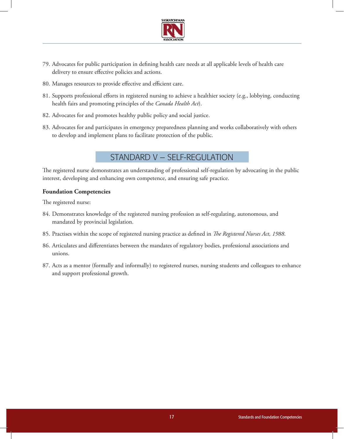

- 79. Advocates for public participation in defining health care needs at all applicable levels of health care delivery to ensure effective policies and actions.
- 80. Manages resources to provide effective and efficient care.
- 81. Supports professional efforts in registered nursing to achieve a healthier society (e.g., lobbying, conducting health fairs and promoting principles of the *Canada Health Act*).
- 82. Advocates for and promotes healthy public policy and social justice.
- 83. Advocates for and participates in emergency preparedness planning and works collaboratively with others to develop and implement plans to facilitate protection of the public.

## Standard V – Self-Regulation

The registered nurse demonstrates an understanding of professional self-regulation by advocating in the public interest, developing and enhancing own competence, and ensuring safe practice.

#### **Foundation Competencies**

- 84. Demonstrates knowledge of the registered nursing profession as self-regulating, autonomous, and mandated by provincial legislation.
- 85. Practises within the scope of registered nursing practice as defined in *The Registered Nurses Act, 1988*.
- 86. Articulates and differentiates between the mandates of regulatory bodies, professional associations and unions.
- 87. Acts as a mentor (formally and informally) to registered nurses, nursing students and colleagues to enhance and support professional growth.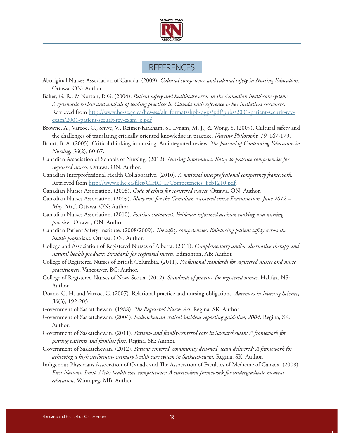

## **REFERENCES**

- Aboriginal Nurses Association of Canada. (2009). *Cultural competence and cultural safety in Nursing Education*. Ottawa, ON: Author.
- Baker, G. R., & Norton, P. G. (2004). *Patient safety and healthcare error in the Canadian healthcare system: A systematic review and analysis of leading practices in Canada with reference to key initiatives elsewhere*. Retrieved from http://www.hc-sc.gc.ca/hcs-sss/alt\_formats/hpb-dgps/pdf/pubs/2001-patient-securit-revexam/2001-patient-securit-rev-exam\_e.pdf
- Browne, A., Varcoe, C., Smye, V., Reimer-Kirkham, S., Lynam, M. J., & Wong, S. (2009). Cultural safety and the challenges of translating critically oriented knowledge in practice. *Nursing Philosophy, 10*, 167-179.
- Brunt, B. A. (2005). Critical thinking in nursing: An integrated review. *The Journal of Continuing Education in Nursing, 36*(2), 60-67.
- Canadian Association of Schools of Nursing. (2012). *Nursing informatics: Entry-to-practice competencies for registered nurses.* Ottawa, ON: Author.
- Canadian Interprofessional Health Collaborative. (2010). *A national interprofessional competency framework.* Retrieved from http://www.cihc.ca/files/CIHC\_IPCompetencies\_Feb1210.pdf.
- Canadian Nurses Association. (2008). *Code of ethics for registered nurses*. Ottawa, ON: Author.
- Canadian Nurses Association. (2009). *Blueprint for the Canadian registered nurse Examination, June 2012 May 2015*. Ottawa, ON: Author.
- Canadian Nurses Association. (2010). *Position statement: Evidence-informed decision making and nursing practice.* Ottawa, ON: Author.
- Canadian Patient Safety Institute. (2008/2009). *The safety competencies: Enhancing patient safety across the health professions.* Ottawa: ON: Author.
- College and Association of Registered Nurses of Alberta. (2011). *Complementary and/or alternative therapy and natural health products: Standards for registered nurses*. Edmonton, AB: Author.
- College of Registered Nurses of British Columbia. (2011). *Professional standards for registered nurses and nurse practitioners*. Vancouver, BC: Author.
- College of Registered Nurses of Nova Scotia. (2012). *Standards of practice for registered nurses*. Halifax, NS: Author.
- Doane, G. H. and Varcoe, C. (2007). Relational practice and nursing obligations. *Advances in Nursing Science, 30*(3), 192-205.
- Government of Saskatchewan. (1988). *The Registered Nurses Act*. Regina, SK: Author.
- Government of Saskatchewan. (2004). *Saskatchewan critical incident reporting guideline, 2004*. Regina, SK: Author.
- Government of Saskatchewan. (2011). *Patient- and family-centered care in Saskatchewan: A framework for putting patients and families first.* Regina, SK: Author.
- Government of Saskatchewan. (2012). *Patient centered, community designed, team delivered: A framework for achieving a high performing primary health care system in Saskatchewan.* Regina, SK: Author.
- Indigenous Physicians Association of Canada and The Association of Faculties of Medicine of Canada. (2008). *First Nations, Inuit, Metis health core competencies: A curriculum framework for undergraduate medical education*. Winnipeg, MB: Author.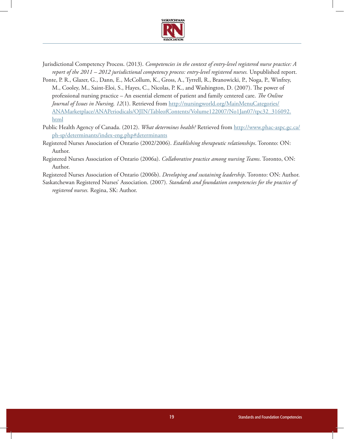

- Jurisdictional Competency Process. (2013). *Competencies in the context of entry-level registered nurse practice: A report of the 2011 – 2012 jurisdictional competency process: entry-level registered nurses.* Unpublished report.
- Ponte, P. R., Glazer, G., Dann, E., McCollum, K., Gross, A., Tyrrell, R., Branowicki, P., Noga, P., Winfrey, M., Cooley, M., Saint-Eloi, S., Hayes, C., Nicolas, P. K., and Washington, D. (2007). The power of professional nursing practice – An essential element of patient and family centered care. *The Online Journal of Issues in Nursing, 12*(1). Retrieved from http://nursingworld.org/MainMenuCategories/ ANAMarketplace/ANAPeriodicals/OJIN/TableofContents/Volume122007/No1Jan07/tpc32\_316092. html
- Public Health Agency of Canada. (2012). *What determines health?* Retrieved from http://www.phac-aspc.gc.ca/ ph-sp/determinants/index-eng.php#determinants
- Registered Nurses Association of Ontario (2002/2006). *Establishing therapeutic relationships*. Toronto: ON: Author.
- Registered Nurses Association of Ontario (2006a). *Collaborative practice among nursing Teams*. Toronto, ON: Author.

Registered Nurses Association of Ontario (2006b). *Developing and sustaining leadership*. Toronto: ON: Author.

Saskatchewan Registered Nurses' Association. (2007). *Standards and foundation competencies for the practice of registered nurses.* Regina, SK: Author.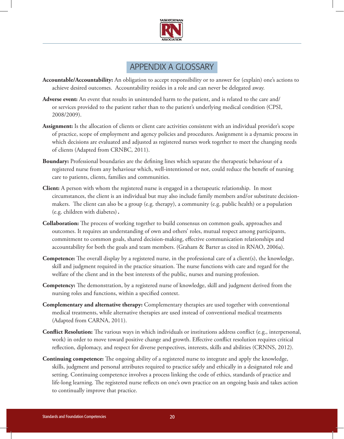

## Appendix A Glossary

- **Accountable/Accountability:** An obligation to accept responsibility or to answer for (explain) one's actions to achieve desired outcomes. Accountability resides in a role and can never be delegated away.
- **Adverse event:** An event that results in unintended harm to the patient, and is related to the care and/ or services provided to the patient rather than to the patient's underlying medical condition (CPSI, 2008/2009).
- **Assignment:** Is the allocation of clients or client care activities consistent with an individual provider's scope of practice, scope of employment and agency policies and procedures. Assignment is a dynamic process in which decisions are evaluated and adjusted as registered nurses work together to meet the changing needs of clients (Adapted from CRNBC, 2011).
- **Boundary:** Professional boundaries are the defining lines which separate the therapeutic behaviour of a registered nurse from any behaviour which, well-intentioned or not, could reduce the benefit of nursing care to patients, clients, families and communities.
- **Client:** A person with whom the registered nurse is engaged in a therapeutic relationship. In most circumstances, the client is an individual but may also include family members and/or substitute decisionmakers. The client can also be a group (e.g. therapy), a community (e.g. public health) or a population (e.g. children with diabetes)**.**
- **Collaboration:** The process of working together to build consensus on common goals, approaches and outcomes. It requires an understanding of own and others' roles, mutual respect among participants, commitment to common goals, shared decision-making, effective communication relationships and accountability for both the goals and team members. (Graham & Barter as cited in RNAO, 2006a).
- **Competence:** The overall display by a registered nurse, in the professional care of a client(s), the knowledge, skill and judgment required in the practice situation. The nurse functions with care and regard for the welfare of the client and in the best interests of the public, nurses and nursing profession.
- **Competency:** The demonstration, by a registered nurse of knowledge, skill and judgment derived from the nursing roles and functions, within a specified context.
- **Complementary and alternative therapy:** Complementary therapies are used together with conventional medical treatments, while alternative therapies are used instead of conventional medical treatments (Adapted from CARNA, 2011).
- **Conflict Resolution:** The various ways in which individuals or institutions address conflict (e.g., interpersonal, work) in order to move toward positive change and growth. Effective conflict resolution requires critical reflection, diplomacy, and respect for diverse perspectives, interests, skills and abilities (CRNNS, 2012).
- **Continuing competence:** The ongoing ability of a registered nurse to integrate and apply the knowledge, skills, judgment and personal attributes required to practice safely and ethically in a designated role and setting. Continuing competence involves a process linking the code of ethics, standards of practice and life-long learning. The registered nurse reflects on one's own practice on an ongoing basis and takes action to continually improve that practice.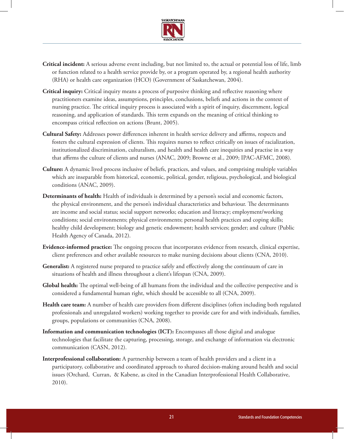

- **Critical incident:** A serious adverse event including, but not limited to, the actual or potential loss of life, limb or function related to a health service provide by, or a program operated by, a regional health authority (RHA) or health care organization (HCO) (Government of Saskatchewan, 2004).
- **Critical inquiry:** Critical inquiry means a process of purposive thinking and reflective reasoning where practitioners examine ideas, assumptions, principles, conclusions, beliefs and actions in the context of nursing practice. The critical inquiry process is associated with a spirit of inquiry, discernment, logical reasoning, and application of standards. This term expands on the meaning of critical thinking to encompass critical reflection on actions (Brunt, 2005).
- **Cultural Safety:** Addresses power differences inherent in health service delivery and affirms, respects and fosters the cultural expression of clients. This requires nurses to reflect critically on issues of racialization, institutionalized discrimination, culturalism, and health and health care inequities and practise in a way that affirms the culture of clients and nurses (ANAC, 2009; Browne et al., 2009; IPAC-AFMC, 2008).
- **Culture:** A dynamic lived process inclusive of beliefs, practices, and values, and comprising multiple variables which are inseparable from historical, economic, political, gender, religious, psychological, and biological conditions (ANAC, 2009).
- **Determinants of health:** Health of individuals is determined by a person's social and economic factors, the physical environment, and the person's individual characteristics and behaviour. The determinants are income and social status; social support networks; education and literacy; employment/working conditions; social environments; physical environments; personal health practices and coping skills; healthy child development; biology and genetic endowment; health services; gender; and culture (Public Health Agency of Canada, 2012).
- **Evidence-informed practice:** The ongoing process that incorporates evidence from research, clinical expertise, client preferences and other available resources to make nursing decisions about clients (CNA, 2010).
- **Generalist:** A registered nurse prepared to practice safely and effectively along the continuum of care in situations of health and illness throughout a client's lifespan (CNA, 2009).
- **Global health:** The optimal well-being of all humans from the individual and the collective perspective and is considered a fundamental human right, which should be accessible to all (CNA, 2009).
- **Health care team:** A number of health care providers from different disciplines (often including both regulated professionals and unregulated workers) working together to provide care for and with individuals, families, groups, populations or communities (CNA, 2008).
- **Information and communication technologies (ICT):** Encompasses all those digital and analogue technologies that facilitate the capturing, processing, storage, and exchange of information via electronic communication (CASN, 2012).
- **Interprofessional collaboration:** A partnership between a team of health providers and a client in a participatory, collaborative and coordinated approach to shared decision-making around health and social issues (Orchard, Curran, & Kabene, as cited in the Canadian Interprofessional Health Collaborative, 2010).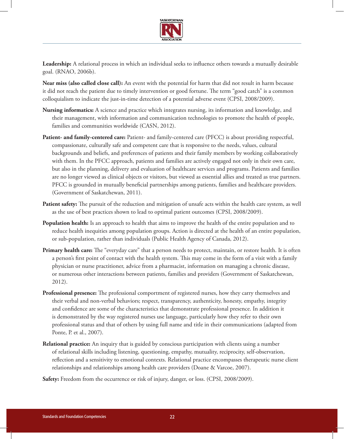

**Leadership:** A relational process in which an individual seeks to influence others towards a mutually desirable goal. (RNAO, 2006b).

**Near miss (also called close call):** An event with the potential for harm that did not result in harm because it did not reach the patient due to timely intervention or good fortune. The term "good catch" is a common colloquialism to indicate the just-in-time detection of a potential adverse event (CPSI, 2008/2009).

- **Nursing informatics:** A science and practice which integrates nursing, its information and knowledge, and their management, with information and communication technologies to promote the health of people, families and communities worldwide (CASN, 2012).
- **Patient- and family-centered care:** Patient‐ and family‐centered care (PFCC) is about providing respectful, compassionate, culturally safe and competent care that is responsive to the needs, values, cultural backgrounds and beliefs, and preferences of patients and their family members by working collaboratively with them. In the PFCC approach, patients and families are actively engaged not only in their own care, but also in the planning, delivery and evaluation of healthcare services and programs. Patients and families are no longer viewed as clinical objects or visitors, but viewed as essential allies and treated as true partners. PFCC is grounded in mutually beneficial partnerships among patients, families and healthcare providers. (Government of Saskatchewan, 2011).
- **Patient safety:** The pursuit of the reduction and mitigation of unsafe acts within the health care system, as well as the use of best practices shown to lead to optimal patient outcomes (CPSI, 2008/2009).
- **Population health:** Is an approach to health that aims to improve the health of the entire population and to reduce health inequities among population groups. Action is directed at the health of an entire population, or sub-population, rather than individuals (Public Health Agency of Canada, 2012).
- **Primary health care:** The "everyday care" that a person needs to protect, maintain, or restore health. It is often a person's first point of contact with the health system. This may come in the form of a visit with a family physician or nurse practitioner, advice from a pharmacist, information on managing a chronic disease, or numerous other interactions between patients, families and providers (Government of Saskatchewan, 2012).
- **Professional presence:** The professional comportment of registered nurses, how they carry themselves and their verbal and non-verbal behaviors; respect, transparency, authenticity, honesty, empathy, integrity and confidence are some of the characteristics that demonstrate professional presence. In addition it is demonstrated by the way registered nurses use language, particularly how they refer to their own professional status and that of others by using full name and title in their communications (adapted from Ponte, P. et al., 2007).
- **Relational practice:** An inquiry that is guided by conscious participation with clients using a number of relational skills including listening, questioning, empathy, mutuality, reciprocity, self-observation, reflection and a sensitivity to emotional contexts. Relational practice encompasses therapeutic nurse client relationships and relationships among health care providers (Doane & Varcoe, 2007).

**Safety:** Freedom from the occurrence or risk of injury, danger, or loss. (CPSI, 2008/2009).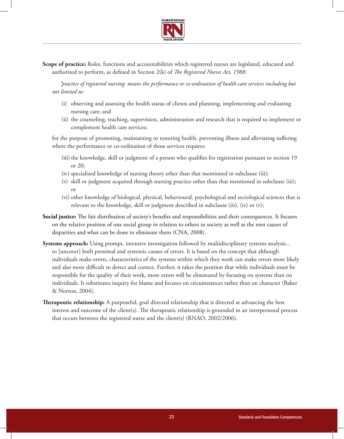

**Scope of practice:** Roles, functions and accountabilities which registered nurses are legislated, educated and authorized to perform, as defined in Section 2(k) of *The Registered Nurses Act, 1988:*

*"practice of registered nursing: means the performance or co-ordination of health care services including but not limited to:*

- (i) observing and assessing the health status of clients and planning, implementing and evaluating nursing care; and
- (ii) the counseling, teaching, supervision, administration and research that is required to implement or complement health care services;

for the purpose of promoting, maintaining or restoring health, preventing illness and alleviating suffering where the performance or co-ordination of those services requires:

- (iii) the knowledge, skill or judgment of a person who qualifies for registration pursuant to section 19 or 20;
- (iv) specialized knowledge of nursing theory other than that mentioned in subclause (iii);
- (v) skill or judgment acquired through nursing practice other than that mentioned in subclause (iii); or
- (vi) other knowledge of biological, physical, behavioural, psychological and sociological sciences that is relevant to the knowledge, skill or judgment described in subclause (iii), (iv) or (v);
- **Social justice:** The fair distribution of society's benefits and responsibilities and their consequences. It focuses on the relative position of one social group in relation to others in society as well as the root causes of disparities and what can be done to eliminate them (CNA, 2008).
- **Systems approach:** Using prompt, intensive investigation followed by multidisciplinary systems analysis... to [uncover] both proximal and systemic causes of errors. It is based on the concept that although individuals make errors, characteristics of the systems within which they work can make errors more likely and also more difficult to detect and correct. Further, it takes the position that while individuals must be responsible for the quality of their work, more errors will be eliminated by focusing on systems than on individuals. It substitutes inquiry for blame and focuses on circumstances rather than on character (Baker & Norton, 2004).
- **Therapeutic relationship:** A purposeful, goal directed relationship that is directed at advancing the best interest and outcome of the client(s). The therapeutic relationship is grounded in an interpersonal process that occurs between the registered nurse and the client(s) (RNAO, 2002/2006).